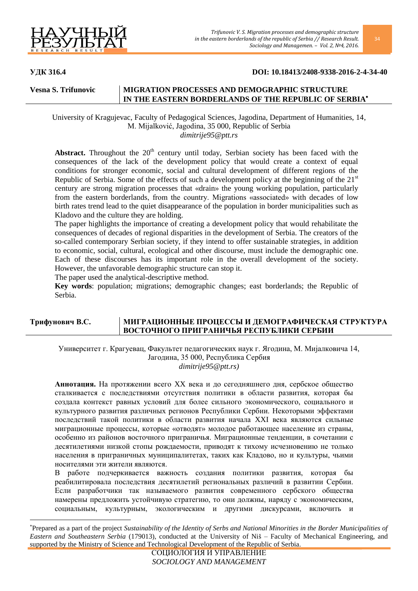

 $\ddot{\phantom{a}}$ 

## **УДК 316.4 DOI: 10.18413/2408-9338-2016-2-4-34-40**

# **Vesna S. Trifunovic MIGRATION PROCESSES AND DEMOGRAPHIC STRUCTURE IN THE EASTERN BORDERLANDS OF THE REPUBLIC OF SERBIA**

University of Kragujevac, Faculty of Pedagogical Sciences, Jagodina, Department of Humanities, 14, M. Mijalković, Jagodina, 35 000, Republic of Serbia *dimitrije95@ptt.rs*

**Abstract.** Throughout the  $20<sup>th</sup>$  century until today, Serbian society has been faced with the consequences of the lack of the development policy that would create a context of equal conditions for stronger economic, social and cultural development of different regions of the Republic of Serbia. Some of the effects of such a development policy at the beginning of the  $21<sup>st</sup>$ century are strong migration processes that «drain» the young working population, particularly from the eastern borderlands, from the country. Migrations «associated» with decades of low birth rates trend lead to the quiet disappearance of the population in border municipalities such as Kladovo and the culture they are holding.

The paper highlights the importance of creating a development policy that would rehabilitate the consequences of decades of regional disparities in the development of Serbia. The creators of the so-called contemporary Serbian society, if they intend to offer sustainable strategies, in addition to economic, social, cultural, ecological and other discourse, must include the demographic one. Each of these discourses has its important role in the overall development of the society. However, the unfavorable demographic structure can stop it.

The paper used the analytical-descriptive method.

**Key words**: population; migrations; demographic changes; east borderlands; the Republic of Serbia.

# **Трифунович В.С. МИГРАЦИОННЫЕ ПРОЦЕССЫ И ДЕМОГРАФИЧЕСКАЯ СТРУКТУРА ВОСТОЧНОГО ПРИГРАНИЧЬЯ РЕСПУБЛИКИ СЕРБИИ**

Университет г. Крагуевац, Факультет педагогических наук г. Ягодина, М. Мијалковича 14, Јагодина, 35 000, Республика Сербия *dimitrije95@ptt.rs)*

**Аннотация.** На протяжении всего XX века и до сегодняшнего дня, сербское общество сталкивается с последствиями отсутствия политики в области развития, которая бы создала контекст равных условий для более сильного экономического, социального и культурного развития различных регионов Республики Сербии. Некоторыми эффектами последствий такой политики в области развития начала XXI века являются сильные миграционные процессы, которые «отводят» молодое работающее население из страны, особенно из районов восточного приграничья. Миграционные тенденции, в сочетании с десятилетиями низкой стопы рождаемости, приводят к тихому исчезновению не только населения в приграничных муниципалитетах, таких как Кладово, но и культуры, чьими носителями эти жители являются.

работе подчеркивается важность создания политики развития, которая бы реабилитировала последствия десятилетий региональных различий в развитии Сербии. Если разработчики так называемого развития современного сербского общества намерены предложить устойчивую стратегию, то они должны, наряду с экономическим, социальным, культурным, экологическим и другими дискурсами, включить и

Prepared as a part of the project *Sustainability of the Identity of Serbs and National Minorities in the Border Municipalities of Eastern and Southeastern Serbia* (179013), conducted at the University of Niš – Faculty of Mechanical Engineering, and supported by the Ministry of Science and Technological Development of the Republic of Serbia.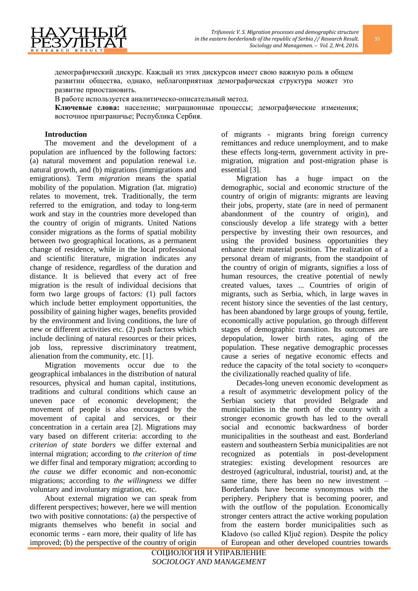

В работе используется аналитическо-описательный метод.

**Ключевые слова:** население; миграционные процессы; демографические изменения; восточное приграничье; Республика Сербия.

## **Introduction**

7YHI

The movement and the development of a population are influenced by the following factors: (a) natural movement and population renewal i.e. natural growth, and (b) migrations (immigrations and emigrations). Term *migration* means the spatial mobility of the population. Migration (lat. migratio) relates to movement, trek. Traditionally, the term referred to the emigration, and today to long-term work and stay in the countries more developed than the country of origin of migrants. United Nations consider migrations as the forms of spatial mobility between two geographical locations, as a permanent change of residence, while in the local professional and scientific literature, migration indicates any change of residence, regardless of the duration and distance. It is believed that every act of free migration is the result of individual decisions that form two large groups of factors: (1) pull factors which include better employment opportunities, the possibility of gaining higher wages, benefits provided by the environment and living conditions, the lure of new or different activities etc. (2) push factors which include declining of natural resources or their prices, job loss, repressive discriminatory treatment, alienation from the community, etc. [1].

Migration movements occur due to the geographical imbalances in the distribution of natural resources, physical and human capital, institutions, traditions and cultural conditions which cause an uneven pace of economic development; the movement of people is also encouraged by the movement of capital and services, or their concentration in a certain area [2]. Migrations may vary based on different criteria: according to *the criterion of state borders* we differ external and internal migration; according to *the criterion of time* we differ final and temporary migration; according to *the cause* we differ economic and non-economic migrations; according to *the willingness* we differ voluntary and involuntary migration, etc.

About external migration we can speak from different perspectives; however, here we will mention two with positive connotations: (a) the perspective of migrants themselves who benefit in social and economic terms - earn more, their quality of life has improved; (b) the perspective of the country of origin

of migrants - migrants bring foreign currency remittances and reduce unemployment, and to make these effects long-term, government activity in premigration, migration and post-migration phase is essential [3].

Migration has a huge impact on the demographic, social and economic structure of the country of origin of migrants: migrants are leaving their jobs, property, state (are in need of permanent abandonment of the country of origin), and consciously develop a life strategy with a better perspective by investing their own resources, and using the provided business opportunities they enhance their material position. The realization of a personal dream of migrants, from the standpoint of the country of origin of migrants, signifies a loss of human resources, the creative potential of newly created values, taxes ... Countries of origin of migrants, such as Serbia, which, in large waves in recent history since the seventies of the last century, has been abandoned by large groups of young, fertile, economically active population, go through different stages of demographic transition. Its outcomes are depopulation, lower birth rates, aging of the population. These negative demographic processes cause a series of negative economic effects and reduce the capacity of the total society to «conquer» the civilizationally reached quality of life.

Decades-long uneven economic development as a result of asymmetric development policy of the Serbian society that provided Belgrade and municipalities in the north of the country with a stronger economic growth has led to the overall social and economic backwardness of border municipalities in the southeast and east. Borderland eastern and southeastern Serbia municipalities are not recognized as potentials in post-development strategies: existing development resources are destroyed (agricultural, industrial, tourist) and, at the same time, there has been no new investment – Borderlands have become synonymous with the periphery. Periphery that is becoming poorer, and with the outflow of the population. Economically stronger centers attract the active working population from the eastern border municipalities such as Kladovo (so called Ključ region). Despite the policy of European and other developed countries towards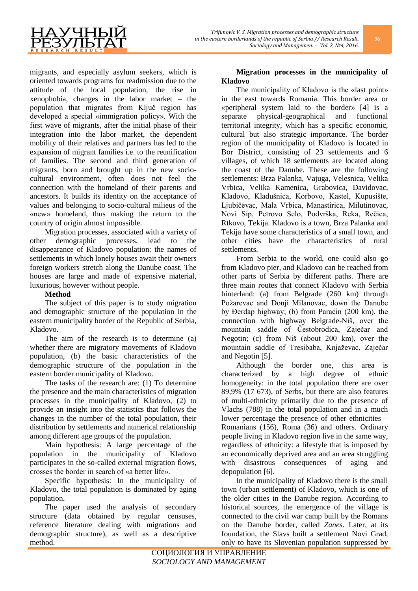migrants, and especially asylum seekers, which is oriented towards programs for readmission due to the attitude of the local population, the rise in xenophobia, changes in the labor market – the population that migrates from Ključ region has developed a special «immigration policy». With the first wave of migrants, after the initial phase of their integration into the labor market, the dependent mobility of their relatives and partners has led to the expansion of migrant families i.e. to the reunification of families. The second and third generation of migrants, born and brought up in the new sociocultural environment, often does not feel the connection with the homeland of their parents and ancestors. It builds its identity on the acceptance of values and belonging to socio-cultural milieus of the «new» homeland, thus making the return to the country of origin almost impossible.

Migration processes, associated with a variety of other demographic processes, lead to the disappearance of Kladovo population: the names of settlements in which lonely houses await their owners foreign workers stretch along the Danube coast. The houses are large and made of expensive material, luxurious, however without people.

## **Method**

The subject of this paper is to study migration and demographic structure of the population in the eastern municipality border of the Republic of Serbia, Kladovo.

The aim of the research is to determine (a) whether there are migratory movements of Kladovo population, (b) the basic characteristics of the demographic structure of the population in the eastern border municipality of Kladovo.

The tasks of the research are: (1) To determine the presence and the main characteristics of migration processes in the municipality of Kladovo, (2) to provide an insight into the statistics that follows the changes in the number of the total population, their distribution by settlements and numerical relationship among different age groups of the population.

Main hypothesis: A large percentage of the population in the municipality of Kladovo participates in the so-called external migration flows, crosses the border in search of «a better life».

Specific hypothesis: In the municipality of Kladovo, the total population is dominated by aging population.

The paper used the analysis of secondary structure (data obtained by regular censuses, reference literature dealing with migrations and demographic structure), as well as a descriptive method.

# **Migration processes in the municipality of Kladovo**

The municipality of Kladovo is the «last point» in the east towards Romania. This border area or «peripheral system laid to the border» [4] is a separate physical-geographical and functional territorial integrity, which has a specific economic, cultural but also strategic importance. The border region of the municipality of Kladovo is located in Bor District, consisting of 23 settlements and 6 villages, of which 18 settlements are located along the coast of the Danube. These are the following settlements: Brza Palanka, Vajuga, Velesnica, Velika Vrbica, Velika Kamenica, Grabovica, Davidovac, Kladovo, Kladušnica, Korbovo, Kastel, Kupusište, Ljubičevac, Mala Vrbica, Manastirica, Milutinovac, Novi Sip, Petrovo Selo, Podvrška, Reka, Rečica, Rtkovo, Tekija. Kladovo is a town, Brza Palanka and Tekija have some characteristics of a small town, and other cities have the characteristics of rural settlements.

From Serbia to the world, one could also go from Kladovo pier, and Kladovo can be reached from other parts of Serbia by different paths. There are three main routes that connect Kladovo with Serbia hinterland: (a) from Belgrade (260 km) through Požarevac and Donji Milanovac, down the Danube by Đerdap highway; (b) from Paraćin (200 km), the connection with highway Belgrade-Niš, over the mountain saddle of Čestobrodica, Zaječar and Negotin; (c) from Niš (about 200 km), over the mountain saddle of Tresibaba, Knjaževac, Zaječar and Negotin [5].

Although the border one, this area is characterized by a high degree of ethnic homogeneity: in the total population there are over 89,9% (17 673), of Serbs, but there are also features of multi-ethnicity primarily due to the presence of Vlachs (788) in the total population and in a much lower percentage the presence of other ethnicities – Romanians (156), Roma (36) and others. Ordinary people living in Kladovo region live in the same way, regardless of ethnicity: a lifestyle that is imposed by an economically deprived area and an area struggling with disastrous consequences of aging and depopulation [6].

In the municipality of Kladovo there is the small town (urban settlement) of Kladovo, which is one of the older cities in the Danube region. According to historical sources, the emergence of the village is connected to the civil war camp built by the Romans on the Danube border, called *Zanes*. Later, at its foundation, the Slavs built a settlement Novi Grad, only to have its Slovenian population suppressed by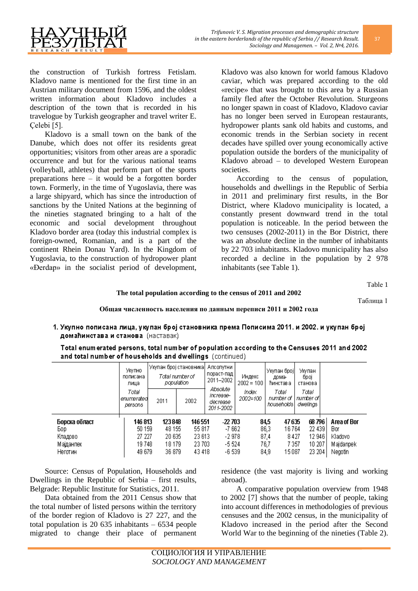

the construction of Turkish fortress Fetislam. Kladovo name is mentioned for the first time in an Austrian military document from 1596, and the oldest written information about Kladovo includes a description of the town that is recorded in his travelogue by Turkish geographer and travel writer E. Çelebi [5].

Kladovo is a small town on the bank of the Danube, which does not offer its residents great opportunities; visitors from other areas are a sporadic occurrence and but for the various national teams (volleyball, athletes) that perform part of the sports preparations here – it would be a forgotten border town. Formerly, in the time of Yugoslavia, there was a large shipyard, which has since the introduction of sanctions by the United Nations at the beginning of the nineties stagnated bringing to a halt of the economic and social development throughout Kladovo border area (today this industrial complex is foreign-owned, Romanian, and is a part of the continent Rhein Donau Yard). In the Kingdom of Yugoslavia, to the construction of hydropower plant «Đerdap» in the socialist period of development,

Kladovo was also known for world famous Kladovo caviar, which was prepared according to the old «recipe» that was brought to this area by a Russian family fled after the October Revolution. Sturgeons no longer spawn in coast of Kladovo, Kladovo caviar has no longer been served in European restaurants, hydropower plants sank old habits and customs, and economic trends in the Serbian society in recent decades have spilled over young economically active population outside the borders of the municipality of Kladovo abroad – to developed Western European societies.

According to the census of population, households and dwellings in the Republic of Serbia in 2011 and preliminary first results, in the Bor District, where Kladovo municipality is located, a constantly present downward trend in the total population is noticeable. In the period between the two censuses (2002-2011) in the Bor District, there was an absolute decline in the number of inhabitants by 22 703 inhabitants. Kladovo municipality has also recorded a decline in the population by 2 978 inhabitants (see Table 1).

Tablе 1

### **The total population according to the census of 2011 and 2002**

Таблица 1

### **Общая численность населения по данным переписи 2011 и 2002 года**

1. Укупно пописана лица, укупан број становника према Пописима 2011, и 2002, и укупан број домаћинстава и станова (наставак)

Total enumerated persons, total number of population according to the Censuses 2011 and 2002 and total number of households and dwellings (continued)

|                                                          | Укупно<br>пописана<br>лица                     | Укупан број становника<br>Total number of<br>population |                                                 | Апсолутни<br>пораст-пад<br>2011-2002                | Индекс<br>$2002 = 100$ | Укупан број<br>дома-<br>Ћинстав а                                                  | Укупан<br>број<br>станова                       |                                                       |
|----------------------------------------------------------|------------------------------------------------|---------------------------------------------------------|-------------------------------------------------|-----------------------------------------------------|------------------------|------------------------------------------------------------------------------------|-------------------------------------------------|-------------------------------------------------------|
|                                                          | Total<br>lenumeratedi<br>persons               | 2011<br>2002                                            |                                                 | Absolute<br>increase-<br>decrease<br>2011-2002      | Index<br>2002=100      | Total<br>number of<br>households                                                   | Total<br>number of l<br>dwelings                |                                                       |
| Борска област<br>Bop.<br>Кладово<br>Мајданпек<br>Неготин | 146 813<br>50 159<br>27 227<br>19748<br>49 679 | 123848<br>48 155<br>20 635<br>18 179<br>36 879          | 146 551<br>55 817<br>23 613<br>23 703<br>43 418 | $-22\,703$<br>-7 662<br>$-2978$<br>-5 524<br>-6 539 |                        | 84,5<br>47635<br>86,3<br>16764<br>87,4<br>8427<br>76,7<br>7 3 5 7<br>15087<br>84.9 | 68 796<br>22 439<br>12 946<br>10 20 7<br>23 204 | Area of Bor<br>Bor<br>Kladovo<br>Majdanpek<br>Negotin |

Source: Census of Population, Households and Dwellings in the Republic of Serbia – first results, Belgrade: Republic Institute for Statistics, 2011.

Data obtained from the 2011 Census show that the total number of listed persons within the territory of the border region of Kladovo is 27 227, and the total population is 20 635 inhabitants – 6534 people migrated to change their place of permanent residence (the vast majority is living and working abroad).

A comparative population overview from 1948 to 2002 [7] shows that the number of people, taking into account differences in methodologies of previous censuses and the 2002 census, in the municipality of Kladovo increased in the period after the Second World War to the beginning of the nineties (Table 2).

37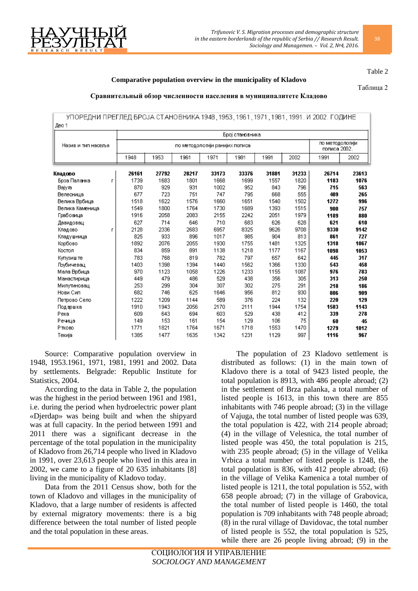

#### Table 2

## **Comparative population overview in the municipality of Kladovo**

Таблица 2

### **Сравнительный обзор численности населения в муниципалитете Кладово**

## УПОРЕДНИ ПРЕГЛЕД БРОЈА СТАНОВНИКА 1948, 1953, 1961, 1971, 1981, 1991. И 2002. ГОДИНЕ Лео 1

|                    |       | Број становника                |       |       |       |       |       |       |                                 |  |  |
|--------------------|-------|--------------------------------|-------|-------|-------|-------|-------|-------|---------------------------------|--|--|
| Назив и тип насеља |       | по методологији ранијих пописа |       |       |       |       |       |       | по методологији<br>пописа 2002. |  |  |
|                    | 1948  | 1953                           | 1961  | 1971  | 1981  | 1991  | 2002  | 1991  | 2002                            |  |  |
| Кладово            | 26161 | 27792                          | 28217 | 33173 | 33376 | 31881 | 31233 | 26714 | 23613                           |  |  |
| Брза Паланка<br>г  | 1739  | 1683                           | 1801  | 1668  | 1699  | 1557  | 1820  | 1183  | 1076                            |  |  |
| Bajyra             | 870   | 929                            | 931   | 1002  | 952   | 843   | 796   | 715   | 563                             |  |  |
| Велесница          | 677   | 723                            | 751   | 747   | 795   | 668   | 555   | 409   | 265                             |  |  |
| Велика Врбица      | 1518  | 1622                           | 1576  | 1660  | 1651  | 1540  | 1502  | 1272  | 996                             |  |  |
| Велика Каменица    | 1549  | 1800                           | 1764  | 1730  | 1689  | 1393  | 1515  | 900   | 757                             |  |  |
| Грабовица          | 1916  | 2058                           | 2083  | 2155  | 2242  | 2051  | 1979  | 1189  | 880                             |  |  |
| Давидовац          | 627   | 714                            | 646   | 710   | 683   | 626   | 628   | 621   | 610                             |  |  |
| Кладово<br>г       | 2128  | 2336                           | 2683  | 6957  | 8325  | 9626  | 9708  | 9330  | 9142                            |  |  |
| Кладүшница         | 825   | 933                            | 896   | 1017  | 985   | 904   | 813   | 861   | 727                             |  |  |
| Корбово            | 1892  | 2076                           | 2055  | 1930  | 1755  | 1481  | 1325  | 1318  | 1067                            |  |  |
| Костол             | 834   | 859                            | 891   | 1138  | 1218  | 1177  | 1167  | 1098  | 1053                            |  |  |
| Купузиште          | 783   | 768                            | 819   | 782   | 797   | 657   | 642   | 445   | 317                             |  |  |
| Љубичевац          | 1403  | 1398                           | 1394  | 1440  | 1562  | 1366  | 1330  | 543   | 458                             |  |  |
| Мала Врбица        | 970   | 1123                           | 1058  | 1226  | 1233  | 1155  | 1087  | 976   | 783                             |  |  |
| Манастирица        | 449   | 479                            | 486   | 529   | 438   | 356   | 305   | 313   | 250                             |  |  |
| Милутиновац        | 253   | 299                            | 304   | 307   | 302   | 275   | 291   | 218   | 186                             |  |  |
| Нови Сип           | 682   | 746                            | 625   | 1646  | 956   | 812   | 930   | 806   | 909                             |  |  |
| Петрово Село       | 1222  | 1209                           | 1144  | 589   | 376   | 224   | 132   | 220   | 129                             |  |  |
| Подвршка           | 1910  | 1943                           | 2056  | 2170  | 2111  | 1944  | 1754  | 1503  | 1143                            |  |  |
| Река               | 609   | 643                            | 694   | 603   | 529   | 438   | 412   | 339   | 278                             |  |  |
| Речица             | 149   | 153                            | 161   | 154   | 129   | 106   | 75    | 60    | 45                              |  |  |
| Ртково             | 1771  | 1821                           | 1764  | 1671  | 1718  | 1553  | 1470  | 1279  | 1012                            |  |  |
| Текија             | 1385  | 1477                           | 1635  | 1342  | 1231  | 1129  | 997   | 1116  | 967                             |  |  |

Source: Comparative population overview in 1948, 1953.1961, 1971, 1981, 1991 and 2002. Data by settlements. Belgrade: Republic Institute for Statistics, 2004.

According to the data in Table 2, the population was the highest in the period between 1961 and 1981, i.e. during the period when hydroelectric power plant «Djerdap» was being built and when the shipyard was at full capacity. In the period between 1991 and 2011 there was a significant decrease in the percentage of the total population in the municipality of Kladovo from 26,714 people who lived in Kladovo in 1991, over 23,613 people who lived in this area in 2002, we came to a figure of 20 635 inhabitants [8] living in the municipality of Kladovo today.

Data from the 2011 Census show, both for the town of Kladovo and villages in the municipality of Kladovo, that a large number of residents is affected by external migratory movements: there is a big difference between the total number of listed people and the total population in these areas.

The population of 23 Kladovo settlement is distributed as follows: (1) in the main town of Kladovo there is a total of 9423 listed people, the total population is 8913, with 486 people abroad; (2) in the settlement of Brza palanka, a total number of listed people is 1613, in this town there are 855 inhabitants with 746 people abroad; (3) in the village of Vajuga, the total number of listed people was 639, the total population is 422, with 214 people abroad; (4) in the village of Velesnica, the total number of listed people was 450, the total population is 215, with 235 people abroad; (5) in the village of Velika Vrbica a total number of listed people is 1248, the total population is 836, with 412 people abroad; (6) in the village of Velika Kamenica a total number of listed people is 1211, the total population is 552, with 658 people abroad; (7) in the village of Grabovica, the total number of listed people is 1460, the total population is 709 inhabitants with 748 people abroad; (8) in the rural village of Davidovac, the total number of listed people is 552, the total population is 525, while there are 26 people living abroad; (9) in the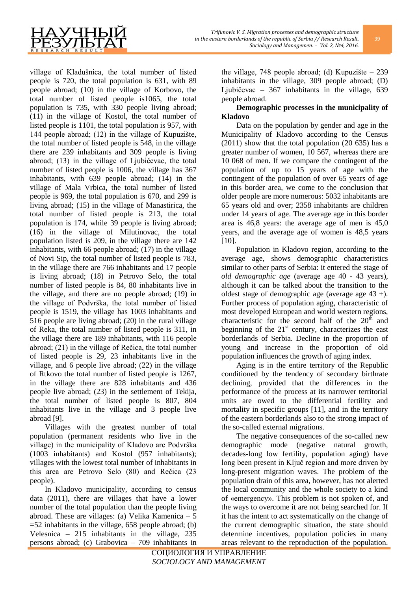

village of Kladušnica, the total number of listed people is 720, the total population is 631, with 89 people abroad; (10) in the village of Korbovo, the total number of listed people is1065, the total population is 735, with 330 people living abroad; (11) in the village of Kostol, the total number of listed people is 1101, the total population is 957, with 144 people abroad; (12) in the village of Kupuzište, the total number of listed people is 548, in the village there are 239 inhabitants and 309 people is living abroad; (13) in the village of Ljubičevac, the total number of listed people is 1006, the village has 367 inhabitants, with 639 people abroad; (14) in the village of Mala Vrbica, the total number of listed people is 969, the total population is 670, and 299 is living abroad; (15) in the village of Manastirica, the total number of listed people is 213, the total population is 174, while 39 people is living abroad; (16) in the village of Milutinovac, the total population listed is 209, in the village there are 142 inhabitants, with 66 people abroad; (17) in the village of Novi Sip, the total number of listed people is 783, in the village there are 766 inhabitants and 17 people is living abroad; (18) in Petrovo Selo, the total number of listed people is 84, 80 inhabitants live in the village, and there are no people abroad; (19) in the village of Podvrška, the total number of listed people is 1519, the village has 1003 inhabitants and 516 people are living abroad; (20) in the rural village of Reka, the total number of listed people is 311, in the village there are 189 inhabitants, with 116 people abroad; (21) in the village of Rečica, the total number of listed people is 29, 23 inhabitants live in the village, and 6 people live abroad; (22) in the village of Rtkovo the total number of listed people is 1267, in the village there are 828 inhabitants and 436 people live abroad; (23) in the settlement of Tekija, the total number of listed people is 807, 804 inhabitants live in the village and 3 people live abroad [9].

Villages with the greatest number of total population (permanent residents who live in the village) in the municipality of Kladovo are Podvrška (1003 inhabitants) and Kostol (957 inhabitants); villages with the lowest total number of inhabitants in this area are Petrovo Selo (80) and Rečica (23 people).

In Kladovo municipality, according to census data (2011), there are villages that have a lower number of the total population than the people living abroad. These are villages: (a) Velika Kamenica – 5  $=52$  inhabitants in the village, 658 people abroad; (b) Velesnica – 215 inhabitants in the village, 235 persons abroad; (c) Grabovica – 709 inhabitants in

the village, 748 people abroad; (d) Kupuzište – 239 inhabitants in the village, 309 people abroad; (D) Ljubičevac – 367 inhabitants in the village, 639 people abroad.

# **Demographic processes in the municipality of Kladovo**

Data on the population by gender and age in the Municipality of Kladovo according to the Census (2011) show that the total population (20 635) has a greater number of women, 10 567, whereas there are 10 068 of men. If we compare the contingent of the population of up to 15 years of age with the contingent of the population of over 65 years of age in this border area, we come to the conclusion that older people are more numerous: 5032 inhabitants are 65 years old and over; 2358 inhabitants are children under 14 years of age. The average age in this border area is 46,8 years: the average age of men is 45,0 years, and the average age of women is 48,5 years [10].

Population in Kladovo region, according to the average age, shows demographic characteristics similar to other parts of Serbia: it entered the stage of *old demographic age* (average age 40 - 43 years), although it can be talked about the transition to the oldest stage of demographic age (average age 43 +). Further process of population aging, characteristic of most developed European and world western regions, characteristic for the second half of the  $20^{th}$  and beginning of the  $21<sup>st</sup>$  century, characterizes the east borderlands of Serbia. Decline in the proportion of young and increase in the proportion of old population influences the growth of aging index.

Aging is in the entire territory of the Republic conditioned by the tendency of secondary birthrate declining, provided that the differences in the performance of the process at its narrower territorial units are owed to the differential fertility and mortality in specific groups [11], and in the territory of the eastern borderlands also to the strong impact of the so-called external migrations.

The negative consequences of the so-called new demographic mode (negative natural growth, decades-long low fertility, population aging) have long been present in Ključ region and more driven by long-present migration waves. The problem of the population drain of this area, however, has not alerted the local community and the whole society to a kind of «emergency». This problem is not spoken of, and the ways to overcome it are not being searched for. If it has the intent to act systematically on the change of the current demographic situation, the state should determine incentives, population policies in many areas relevant to the reproduction of the population.